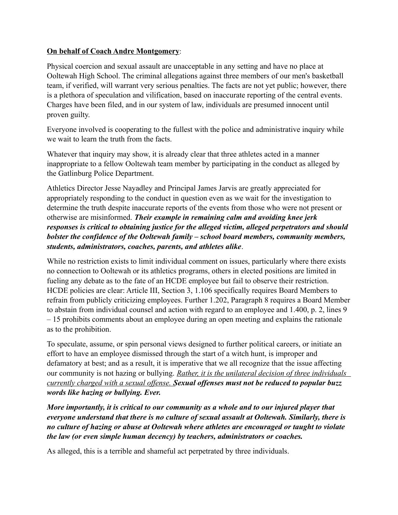## **On behalf of Coach Andre Montgomery**:

Physical coercion and sexual assault are unacceptable in any setting and have no place at Ooltewah High School. The criminal allegations against three members of our men's basketball team, if verified, will warrant very serious penalties. The facts are not yet public; however, there is a plethora of speculation and vilification, based on inaccurate reporting of the central events. Charges have been filed, and in our system of law, individuals are presumed innocent until proven guilty.

Everyone involved is cooperating to the fullest with the police and administrative inquiry while we wait to learn the truth from the facts.

Whatever that inquiry may show, it is already clear that three athletes acted in a manner inappropriate to a fellow Ooltewah team member by participating in the conduct as alleged by the Gatlinburg Police Department.

Athletics Director Jesse Nayadley and Principal James Jarvis are greatly appreciated for appropriately responding to the conduct in question even as we wait for the investigation to determine the truth despite inaccurate reports of the events from those who were not present or otherwise are misinformed. *Their example in remaining calm and avoiding knee jerk responses is critical to obtaining justice for the alleged victim, alleged perpetrators and should bolster the confidence of the Ooltewah family – school board members, community members, students, administrators, coaches, parents, and athletes alike*.

While no restriction exists to limit individual comment on issues, particularly where there exists no connection to Ooltewah or its athletics programs, others in elected positions are limited in fueling any debate as to the fate of an HCDE employee but fail to observe their restriction. HCDE policies are clear: Article III, Section 3, 1.106 specifically requires Board Members to refrain from publicly criticizing employees. Further 1.202, Paragraph 8 requires a Board Member to abstain from individual counsel and action with regard to an employee and 1.400, p. 2, lines 9 – 15 prohibits comments about an employee during an open meeting and explains the rationale as to the prohibition.

To speculate, assume, or spin personal views designed to further political careers, or initiate an effort to have an employee dismissed through the start of a witch hunt, is improper and defamatory at best; and as a result, it is imperative that we all recognize that the issue affecting our community is not hazing or bullying. *Rather, it is the unilateral decision of three individuals currently charged with a sexual offense. Sexual offenses must not be reduced to popular buzz words like hazing or bullying. Ever.*

*More importantly, it is critical to our community as a whole and to our injured player that everyone understand that there is no culture of sexual assault at Ooltewah. Similarly, there is no culture of hazing or abuse at Ooltewah where athletes are encouraged or taught to violate the law (or even simple human decency) by teachers, administrators or coaches.* 

As alleged, this is a terrible and shameful act perpetrated by three individuals.